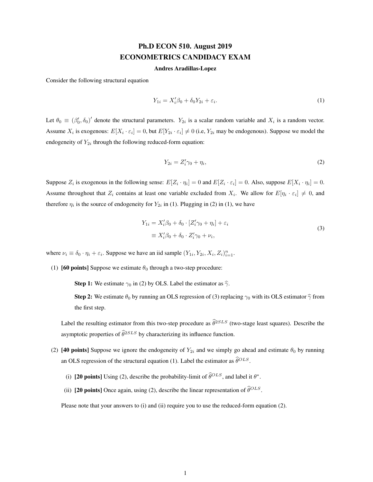## Ph.D ECON 510. August 2019 ECONOMETRICS CANDIDACY EXAM

## Andres Aradillas-Lopez

Consider the following structural equation

$$
Y_{1i} = X_i' \beta_0 + \delta_0 Y_{2i} + \varepsilon_i. \tag{1}
$$

Let  $\theta_0 \equiv (\beta'_0, \delta_0)'$  denote the structural parameters.  $Y_{2i}$  is a scalar random variable and  $X_i$  is a random vector. Assume  $X_i$  is exogenous:  $E[X_i \cdot \varepsilon_i] = 0$ , but  $E[Y_{2i} \cdot \varepsilon_i] \neq 0$  (i.e,  $Y_{2i}$  may be endogenous). Suppose we model the endogeneity of  $Y_{2i}$  through the following reduced-form equation:

$$
Y_{2i} = Z_i' \gamma_0 + \eta_i,\tag{2}
$$

Suppose  $Z_i$  is exogenous in the following sense:  $E[Z_i \cdot \eta_i] = 0$  and  $E[Z_i \cdot \varepsilon_i] = 0$ . Also, suppose  $E[X_i \cdot \eta_i] = 0$ . Assume throughout that  $Z_i$  contains at least one variable excluded from  $X_i$ . We allow for  $E[\eta_i \cdot \varepsilon_i] \neq 0$ , and therefore  $\eta_i$  is the source of endogeneity for  $Y_{2i}$  in (1). Plugging in (2) in (1), we have

$$
Y_{1i} = X'_i \beta_0 + \delta_0 \cdot [Z'_i \gamma_0 + \eta_i] + \varepsilon_i
$$
  
\n
$$
\equiv X'_i \beta_0 + \delta_0 \cdot Z'_i \gamma_0 + \nu_i,
$$
\n(3)

where  $\nu_i \equiv \delta_0 \cdot \eta_i + \varepsilon_i$ . Suppose we have an iid sample  $(Y_{1i}, Y_{2i}, X_i, Z_i)_{i=1}^n$ .

(1) [60 points] Suppose we estimate  $\theta_0$  through a two-step procedure:

**Step 1:** We estimate  $\gamma_0$  in (2) by OLS. Label the estimator as  $\hat{\gamma}$ .

**Step 2:** We estimate  $\theta_0$  by running an OLS regression of (3) replacing  $\gamma_0$  with its OLS estimator  $\hat{\gamma}$  from the first step.

Label the resulting estimator from this two-step procedure as  $\hat{\theta}^{2SLS}$  (two-stage least squares). Describe the asymptotic properties of  $\widehat{\theta}^{2SLS}$  by characterizing its influence function.

- (2) [40 points] Suppose we ignore the endogeneity of  $Y_{2i}$  and we simply go ahead and estimate  $\theta_0$  by running an OLS regression of the structural equation (1). Label the estimator as  $\hat{\theta}^{OLS}$ .
	- (i) [20 points] Using (2), describe the probability-limit of  $\hat{\theta}^{OLS}$ , and label it  $\theta^*$ .
	- (ii) [20 points] Once again, using (2), describe the linear representation of  $\hat{\theta}^{OLS}$ .

Please note that your answers to (i) and (ii) require you to use the reduced-form equation (2).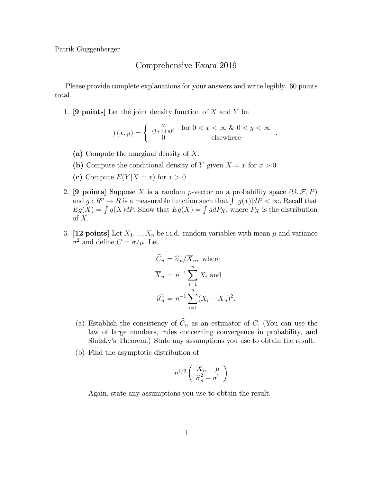Patrik Guggenberger

## Comprehensive Exam 2019

Please provide complete explanations for your answers and write legibly. 60 points total.

1. **[9 points]** Let the joint density function of  $X$  and  $Y$  be

$$
f(x,y) = \begin{cases} \frac{2}{(1+x+y)^3} & \text{for } 0 < x < \infty \& 0 < y < \infty \\ 0 & \text{elsewhere} \end{cases}.
$$

- (a) Compute the marginal density of  $X$ .
- (b) Compute the conditional density of Y given  $X = x$  for  $x > 0$ .
- (c) Compute  $E(Y|X=x)$  for  $x>0$ .
- 2. [9 points] Suppose X is a random p-vector on a probability space  $(\Omega, \mathcal{F}, P)$ and  $g: R^p \to R$  is a measurable function such that  $\int |g(x)| dP < \infty$ . Recall that  $Eg(X) = \int g(X)dP$ . Show that  $Eg(X) = \int g dP_X$ , where  $P_X$  is the distribution of  $X$ .
- 3. [12 points] Let  $X_1, ..., X_n$  be i.i.d. random variables with mean  $\mu$  and variance  $\sigma^2$  and define  $C = \sigma/\mu$ . Let

$$
\widehat{C}_n = \widehat{\sigma}_n / \overline{X}_n, \text{ where}
$$

$$
\overline{X}_n = n^{-1} \sum_{i=1}^n X_i \text{ and}
$$

$$
\widehat{\sigma}_n^2 = n^{-1} \sum_{i=1}^n (X_i - \overline{X}_n)^2.
$$

- (a) Establish the consistency of  $\widehat{C}_n$  as an estimator of C. (You can use the law of large numbers, rules concerning convergence in probability, and Slutskyís Theorem.) State any assumptions you use to obtain the result.
- (b) Find the asymptotic distribution of

$$
n^{1/2} \left( \begin{array}{c} \overline{X}_n - \mu \\ \widehat{\sigma}_n^2 - \sigma^2 \end{array} \right)
$$

:

Again, state any assumptions you use to obtain the result.